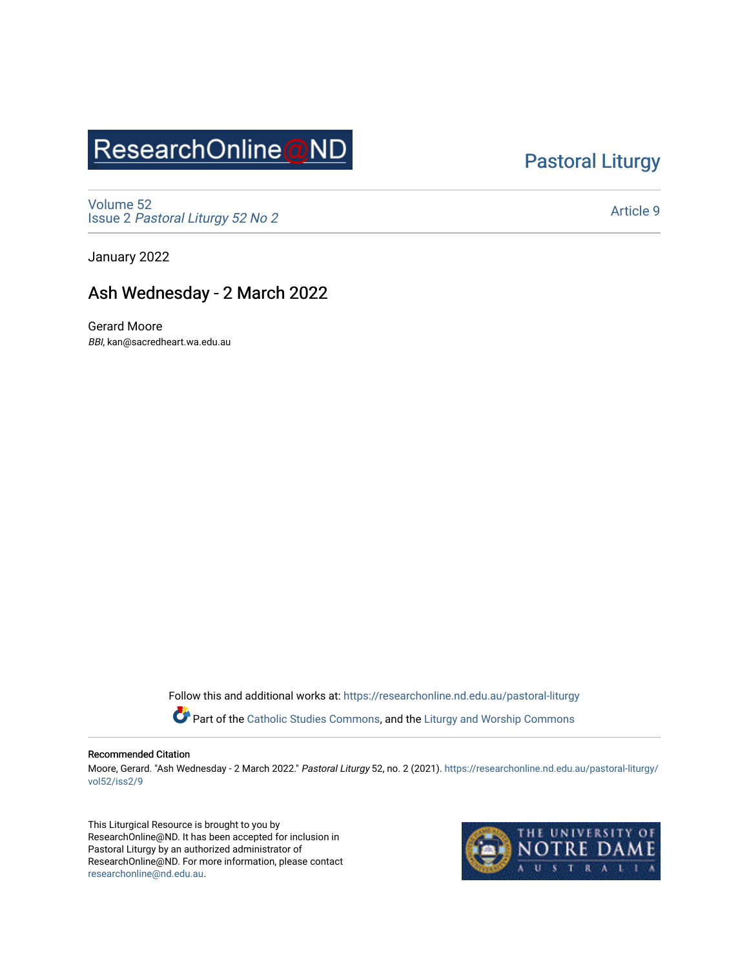## ResearchOnline@ND

### [Pastoral Liturgy](https://researchonline.nd.edu.au/pastoral-liturgy)

[Volume 52](https://researchonline.nd.edu.au/pastoral-liturgy/vol52) Issue 2 [Pastoral Liturgy 52 No 2](https://researchonline.nd.edu.au/pastoral-liturgy/vol52/iss2)

[Article 9](https://researchonline.nd.edu.au/pastoral-liturgy/vol52/iss2/9) 

January 2022

### Ash Wednesday - 2 March 2022

Gerard Moore BBI, kan@sacredheart.wa.edu.au

Follow this and additional works at: [https://researchonline.nd.edu.au/pastoral-liturgy](https://researchonline.nd.edu.au/pastoral-liturgy?utm_source=researchonline.nd.edu.au%2Fpastoral-liturgy%2Fvol52%2Fiss2%2F9&utm_medium=PDF&utm_campaign=PDFCoverPages)

Part of the [Catholic Studies Commons,](http://network.bepress.com/hgg/discipline/1294?utm_source=researchonline.nd.edu.au%2Fpastoral-liturgy%2Fvol52%2Fiss2%2F9&utm_medium=PDF&utm_campaign=PDFCoverPages) and the Liturgy and Worship Commons

#### Recommended Citation

Moore, Gerard. "Ash Wednesday - 2 March 2022." Pastoral Liturgy 52, no. 2 (2021). [https://researchonline.nd.edu.au/pastoral-liturgy/](https://researchonline.nd.edu.au/pastoral-liturgy/vol52/iss2/9?utm_source=researchonline.nd.edu.au%2Fpastoral-liturgy%2Fvol52%2Fiss2%2F9&utm_medium=PDF&utm_campaign=PDFCoverPages) [vol52/iss2/9](https://researchonline.nd.edu.au/pastoral-liturgy/vol52/iss2/9?utm_source=researchonline.nd.edu.au%2Fpastoral-liturgy%2Fvol52%2Fiss2%2F9&utm_medium=PDF&utm_campaign=PDFCoverPages)

This Liturgical Resource is brought to you by ResearchOnline@ND. It has been accepted for inclusion in Pastoral Liturgy by an authorized administrator of ResearchOnline@ND. For more information, please contact [researchonline@nd.edu.au.](mailto:researchonline@nd.edu.au)

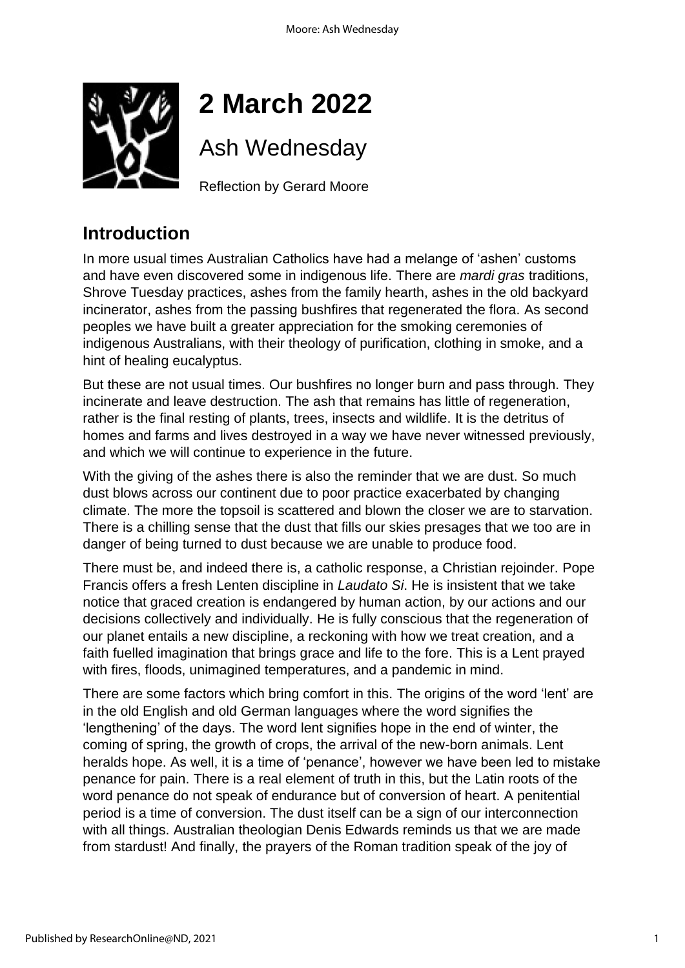

# **2 March 2022**

Ash Wednesday

Reflection by Gerard Moore

### **Introduction**

In more usual times Australian Catholics have had a melange of 'ashen' customs and have even discovered some in indigenous life. There are *mardi gras* traditions, Shrove Tuesday practices, ashes from the family hearth, ashes in the old backyard incinerator, ashes from the passing bushfires that regenerated the flora. As second peoples we have built a greater appreciation for the smoking ceremonies of indigenous Australians, with their theology of purification, clothing in smoke, and a hint of healing eucalyptus.

But these are not usual times. Our bushfires no longer burn and pass through. They incinerate and leave destruction. The ash that remains has little of regeneration, rather is the final resting of plants, trees, insects and wildlife. It is the detritus of homes and farms and lives destroyed in a way we have never witnessed previously, and which we will continue to experience in the future.

With the giving of the ashes there is also the reminder that we are dust. So much dust blows across our continent due to poor practice exacerbated by changing climate. The more the topsoil is scattered and blown the closer we are to starvation. There is a chilling sense that the dust that fills our skies presages that we too are in danger of being turned to dust because we are unable to produce food.

There must be, and indeed there is, a catholic response, a Christian rejoinder. Pope Francis offers a fresh Lenten discipline in *Laudato Si*. He is insistent that we take notice that graced creation is endangered by human action, by our actions and our decisions collectively and individually. He is fully conscious that the regeneration of our planet entails a new discipline, a reckoning with how we treat creation, and a faith fuelled imagination that brings grace and life to the fore. This is a Lent prayed with fires, floods, unimagined temperatures, and a pandemic in mind.

There are some factors which bring comfort in this. The origins of the word 'lent' are in the old English and old German languages where the word signifies the 'lengthening' of the days. The word lent signifies hope in the end of winter, the coming of spring, the growth of crops, the arrival of the new-born animals. Lent heralds hope. As well, it is a time of 'penance', however we have been led to mistake penance for pain. There is a real element of truth in this, but the Latin roots of the word penance do not speak of endurance but of conversion of heart. A penitential period is a time of conversion. The dust itself can be a sign of our interconnection with all things. Australian theologian Denis Edwards reminds us that we are made from stardust! And finally, the prayers of the Roman tradition speak of the joy of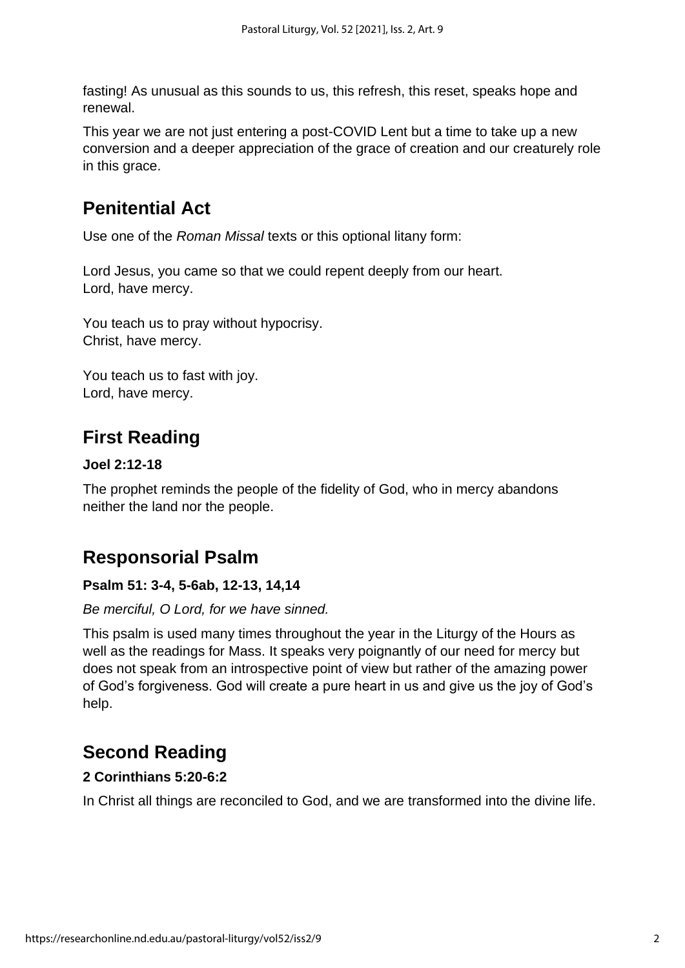fasting! As unusual as this sounds to us, this refresh, this reset, speaks hope and renewal.

This year we are not just entering a post-COVID Lent but a time to take up a new conversion and a deeper appreciation of the grace of creation and our creaturely role in this grace.

### **Penitential Act**

Use one of the *Roman Missal* texts or this optional litany form:

Lord Jesus, you came so that we could repent deeply from our heart. Lord, have mercy.

You teach us to pray without hypocrisy. Christ, have mercy.

You teach us to fast with joy. Lord, have mercy.

### **First Reading**

#### **Joel 2:12-18**

The prophet reminds the people of the fidelity of God, who in mercy abandons neither the land nor the people.

### **Responsorial Psalm**

#### **Psalm 51: 3-4, 5-6ab, 12-13, 14,14**

#### *Be merciful, O Lord, for we have sinned.*

This psalm is used many times throughout the year in the Liturgy of the Hours as well as the readings for Mass. It speaks very poignantly of our need for mercy but does not speak from an introspective point of view but rather of the amazing power of God's forgiveness. God will create a pure heart in us and give us the joy of God's help.

### **Second Reading**

#### **2 Corinthians 5:20-6:2**

In Christ all things are reconciled to God, and we are transformed into the divine life.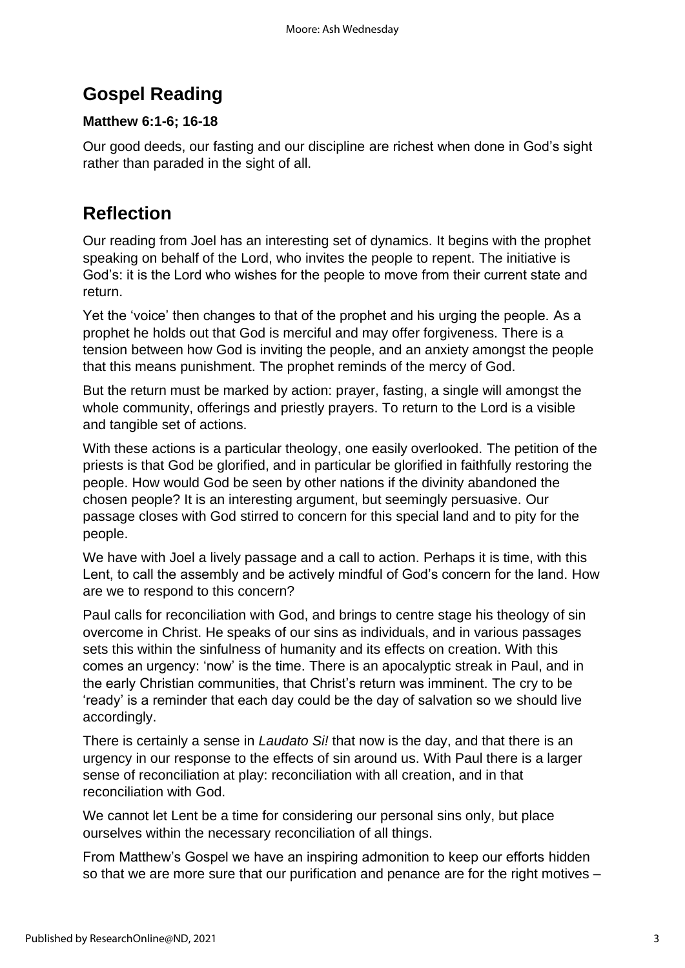### **Gospel Reading**

### **Matthew 6:1-6; 16-18**

Our good deeds, our fasting and our discipline are richest when done in God's sight rather than paraded in the sight of all.

### **Reflection**

Our reading from Joel has an interesting set of dynamics. It begins with the prophet speaking on behalf of the Lord, who invites the people to repent. The initiative is God's: it is the Lord who wishes for the people to move from their current state and return.

Yet the 'voice' then changes to that of the prophet and his urging the people. As a prophet he holds out that God is merciful and may offer forgiveness. There is a tension between how God is inviting the people, and an anxiety amongst the people that this means punishment. The prophet reminds of the mercy of God.

But the return must be marked by action: prayer, fasting, a single will amongst the whole community, offerings and priestly prayers. To return to the Lord is a visible and tangible set of actions.

With these actions is a particular theology, one easily overlooked. The petition of the priests is that God be glorified, and in particular be glorified in faithfully restoring the people. How would God be seen by other nations if the divinity abandoned the chosen people? It is an interesting argument, but seemingly persuasive. Our passage closes with God stirred to concern for this special land and to pity for the people.

We have with Joel a lively passage and a call to action. Perhaps it is time, with this Lent, to call the assembly and be actively mindful of God's concern for the land. How are we to respond to this concern?

Paul calls for reconciliation with God, and brings to centre stage his theology of sin overcome in Christ. He speaks of our sins as individuals, and in various passages sets this within the sinfulness of humanity and its effects on creation. With this comes an urgency: 'now' is the time. There is an apocalyptic streak in Paul, and in the early Christian communities, that Christ's return was imminent. The cry to be 'ready' is a reminder that each day could be the day of salvation so we should live accordingly.

There is certainly a sense in *Laudato Si!* that now is the day, and that there is an urgency in our response to the effects of sin around us. With Paul there is a larger sense of reconciliation at play: reconciliation with all creation, and in that reconciliation with God.

We cannot let Lent be a time for considering our personal sins only, but place ourselves within the necessary reconciliation of all things.

From Matthew's Gospel we have an inspiring admonition to keep our efforts hidden so that we are more sure that our purification and penance are for the right motives –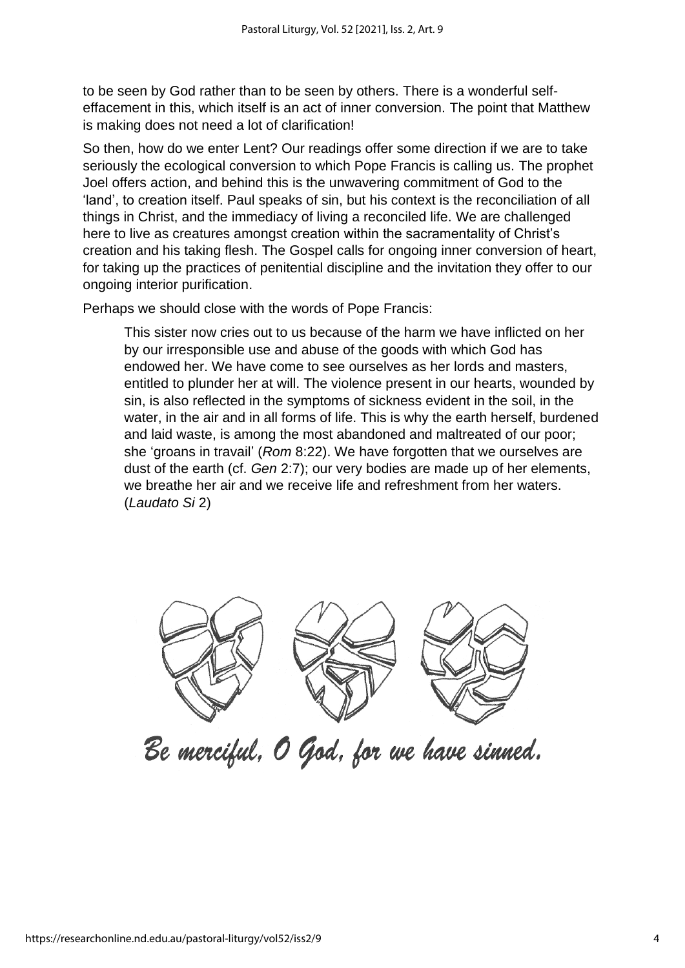to be seen by God rather than to be seen by others. There is a wonderful selfeffacement in this, which itself is an act of inner conversion. The point that Matthew is making does not need a lot of clarification!

So then, how do we enter Lent? Our readings offer some direction if we are to take seriously the ecological conversion to which Pope Francis is calling us. The prophet Joel offers action, and behind this is the unwavering commitment of God to the 'land', to creation itself. Paul speaks of sin, but his context is the reconciliation of all things in Christ, and the immediacy of living a reconciled life. We are challenged here to live as creatures amongst creation within the sacramentality of Christ's creation and his taking flesh. The Gospel calls for ongoing inner conversion of heart, for taking up the practices of penitential discipline and the invitation they offer to our ongoing interior purification.

Perhaps we should close with the words of Pope Francis:

This sister now cries out to us because of the harm we have inflicted on her by our irresponsible use and abuse of the goods with which God has endowed her. We have come to see ourselves as her lords and masters, entitled to plunder her at will. The violence present in our hearts, wounded by sin, is also reflected in the symptoms of sickness evident in the soil, in the water, in the air and in all forms of life. This is why the earth herself, burdened and laid waste, is among the most abandoned and maltreated of our poor; she 'groans in travail' (*Rom* 8:22). We have forgotten that we ourselves are dust of the earth (cf. *Gen* 2:7); our very bodies are made up of her elements, we breathe her air and we receive life and refreshment from her waters. (*Laudato Si* 2)



Be merciful, O God, for we have sinned.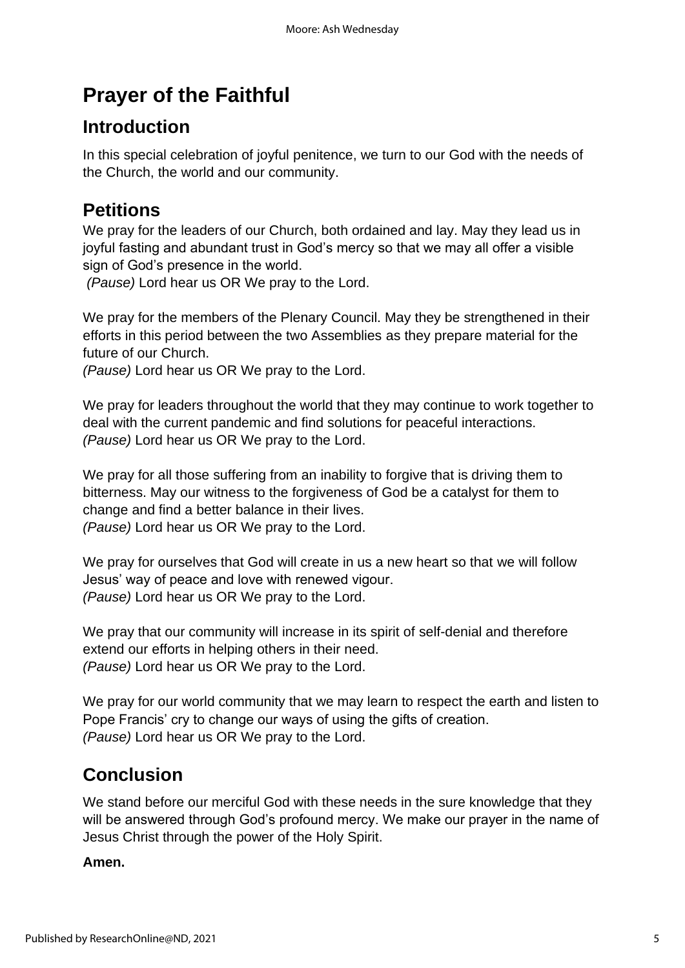## **Prayer of the Faithful**

### **Introduction**

In this special celebration of joyful penitence, we turn to our God with the needs of the Church, the world and our community.

### **Petitions**

We pray for the leaders of our Church, both ordained and lay. May they lead us in joyful fasting and abundant trust in God's mercy so that we may all offer a visible sign of God's presence in the world.

*(Pause)* Lord hear us OR We pray to the Lord.

We pray for the members of the Plenary Council. May they be strengthened in their efforts in this period between the two Assemblies as they prepare material for the future of our Church.

*(Pause)* Lord hear us OR We pray to the Lord.

We pray for leaders throughout the world that they may continue to work together to deal with the current pandemic and find solutions for peaceful interactions. *(Pause)* Lord hear us OR We pray to the Lord.

We pray for all those suffering from an inability to forgive that is driving them to bitterness. May our witness to the forgiveness of God be a catalyst for them to change and find a better balance in their lives. *(Pause)* Lord hear us OR We pray to the Lord.

We pray for ourselves that God will create in us a new heart so that we will follow Jesus' way of peace and love with renewed vigour. *(Pause)* Lord hear us OR We pray to the Lord.

We pray that our community will increase in its spirit of self-denial and therefore extend our efforts in helping others in their need. *(Pause)* Lord hear us OR We pray to the Lord.

We pray for our world community that we may learn to respect the earth and listen to Pope Francis' cry to change our ways of using the gifts of creation. *(Pause)* Lord hear us OR We pray to the Lord.

### **Conclusion**

We stand before our merciful God with these needs in the sure knowledge that they will be answered through God's profound mercy. We make our prayer in the name of Jesus Christ through the power of the Holy Spirit.

#### **Amen.**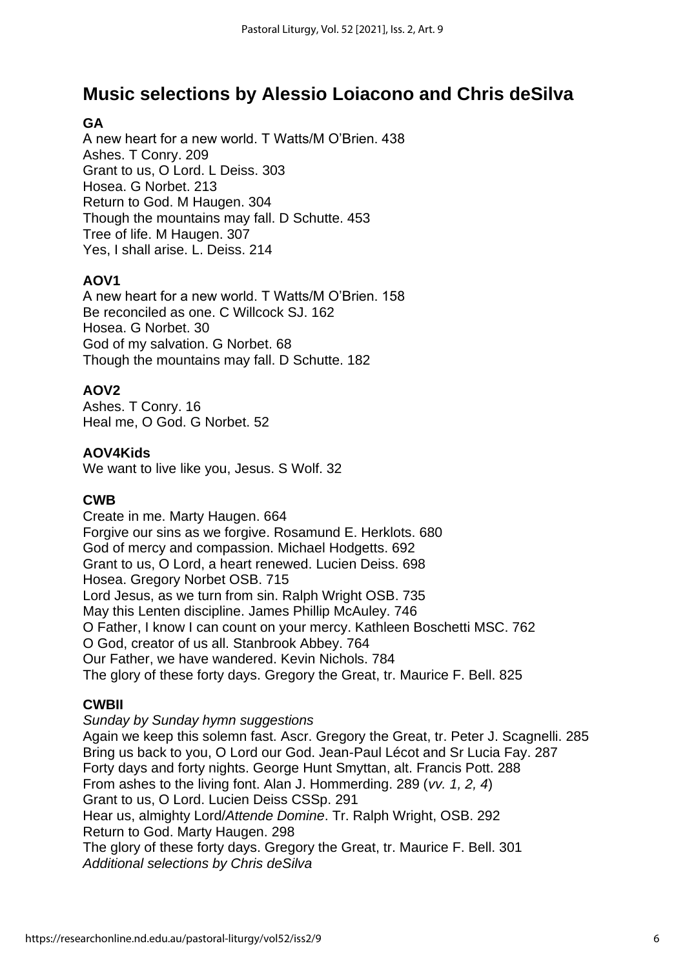### **Music selections by Alessio Loiacono and Chris deSilva**

### **GA**

A new heart for a new world. T Watts/M O'Brien. 438 Ashes. T Conry. 209 Grant to us, O Lord. L Deiss. 303 Hosea. G Norbet. 213 Return to God. M Haugen. 304 Though the mountains may fall. D Schutte. 453 Tree of life. M Haugen. 307 Yes, I shall arise. L. Deiss. 214

#### **AOV1**

A new heart for a new world. T Watts/M O'Brien. 158 Be reconciled as one. C Willcock SJ. 162 Hosea. G Norbet. 30 God of my salvation. G Norbet. 68 Though the mountains may fall. D Schutte. 182

#### **AOV2**

Ashes. T Conry. 16 Heal me, O God. G Norbet. 52

#### **AOV4Kids**

We want to live like you, Jesus. S Wolf. 32

#### **CWB**

Create in me. Marty Haugen. 664 Forgive our sins as we forgive. Rosamund E. Herklots. 680 God of mercy and compassion. Michael Hodgetts. 692 Grant to us, O Lord, a heart renewed. Lucien Deiss. 698 Hosea. Gregory Norbet OSB. 715 Lord Jesus, as we turn from sin. Ralph Wright OSB. 735 May this Lenten discipline. James Phillip McAuley. 746 O Father, I know I can count on your mercy. Kathleen Boschetti MSC. 762 O God, creator of us all. Stanbrook Abbey. 764 Our Father, we have wandered. Kevin Nichols. 784 The glory of these forty days. Gregory the Great, tr. Maurice F. Bell. 825

#### **CWBII**

*Sunday by Sunday hymn suggestions*

Again we keep this solemn fast. Ascr. Gregory the Great, tr. Peter J. Scagnelli. 285 Bring us back to you, O Lord our God. Jean-Paul Lécot and Sr Lucia Fay. 287 Forty days and forty nights. George Hunt Smyttan, alt. Francis Pott. 288 From ashes to the living font. Alan J. Hommerding. 289 (*vv. 1, 2, 4*) Grant to us, O Lord. Lucien Deiss CSSp. 291 Hear us, almighty Lord/*Attende Domine*. Tr. Ralph Wright, OSB. 292 Return to God. Marty Haugen. 298 The glory of these forty days. Gregory the Great, tr. Maurice F. Bell. 301 *Additional selections by Chris deSilva*